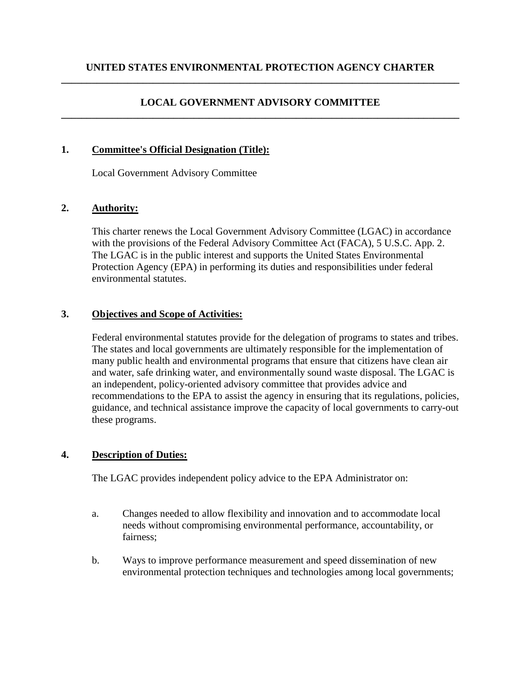### **LOCAL GOVERNMENT ADVISORY COMMITTEE \_\_\_\_\_\_\_\_\_\_\_\_\_\_\_\_\_\_\_\_\_\_\_\_\_\_\_\_\_\_\_\_\_\_\_\_\_\_\_\_\_\_\_\_\_\_\_\_\_\_\_\_\_\_\_\_\_\_\_\_\_\_\_\_\_\_\_\_\_\_\_\_\_\_\_\_\_\_**

#### **1. Committee's Official Designation (Title):**

Local Government Advisory Committee

#### **2. Authority:**

This charter renews the Local Government Advisory Committee (LGAC) in accordance with the provisions of the Federal Advisory Committee Act (FACA), 5 U.S.C. App. 2. The LGAC is in the public interest and supports the United States Environmental Protection Agency (EPA) in performing its duties and responsibilities under federal environmental statutes.

#### **3. Objectives and Scope of Activities:**

Federal environmental statutes provide for the delegation of programs to states and tribes. The states and local governments are ultimately responsible for the implementation of many public health and environmental programs that ensure that citizens have clean air and water, safe drinking water, and environmentally sound waste disposal. The LGAC is an independent, policy-oriented advisory committee that provides advice and recommendations to the EPA to assist the agency in ensuring that its regulations, policies, guidance, and technical assistance improve the capacity of local governments to carry-out these programs.

# **4. Description of Duties:**

The LGAC provides independent policy advice to the EPA Administrator on:

- a. Changes needed to allow flexibility and innovation and to accommodate local needs without compromising environmental performance, accountability, or fairness;
- b. Ways to improve performance measurement and speed dissemination of new environmental protection techniques and technologies among local governments;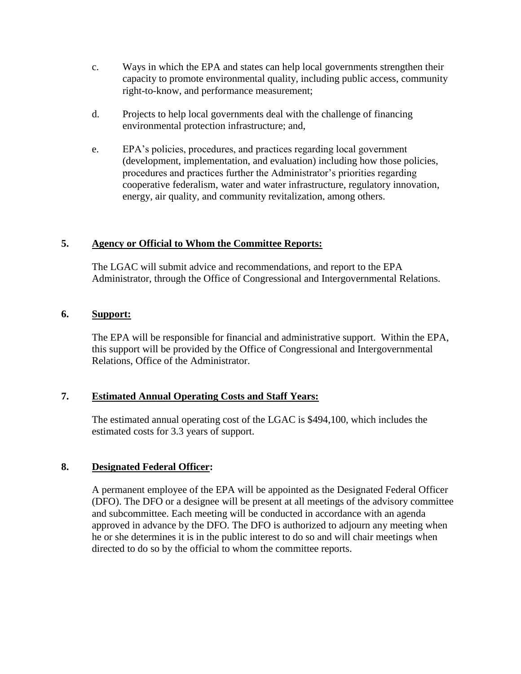- c. Ways in which the EPA and states can help local governments strengthen their capacity to promote environmental quality, including public access, community right-to-know, and performance measurement;
- d. Projects to help local governments deal with the challenge of financing environmental protection infrastructure; and,
- e. EPA's policies, procedures, and practices regarding local government (development, implementation, and evaluation) including how those policies, procedures and practices further the Administrator's priorities regarding cooperative federalism, water and water infrastructure, regulatory innovation, energy, air quality, and community revitalization, among others.

# **5. Agency or Official to Whom the Committee Reports:**

The LGAC will submit advice and recommendations, and report to the EPA Administrator, through the Office of Congressional and Intergovernmental Relations.

# **6. Support:**

The EPA will be responsible for financial and administrative support. Within the EPA, this support will be provided by the Office of Congressional and Intergovernmental Relations, Office of the Administrator.

# **7. Estimated Annual Operating Costs and Staff Years:**

The estimated annual operating cost of the LGAC is \$494,100, which includes the estimated costs for 3.3 years of support.

# **8. Designated Federal Officer:**

A permanent employee of the EPA will be appointed as the Designated Federal Officer (DFO). The DFO or a designee will be present at all meetings of the advisory committee and subcommittee. Each meeting will be conducted in accordance with an agenda approved in advance by the DFO. The DFO is authorized to adjourn any meeting when he or she determines it is in the public interest to do so and will chair meetings when directed to do so by the official to whom the committee reports.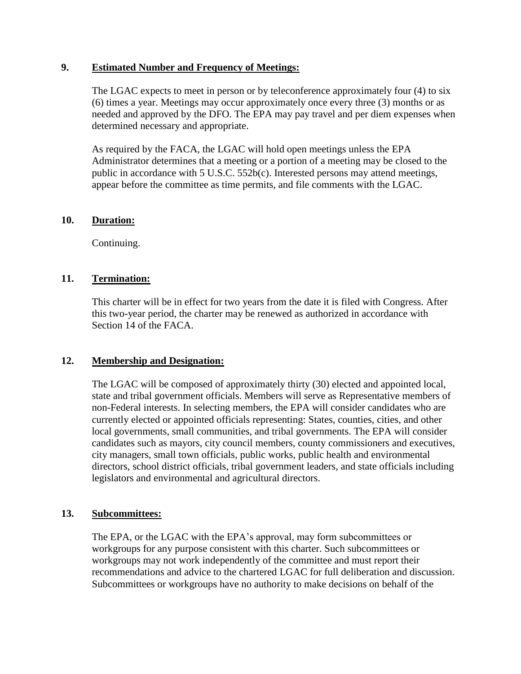#### **9. Estimated Number and Frequency of Meetings:**

The LGAC expects to meet in person or by teleconference approximately four (4) to six (6) times a year. Meetings may occur approximately once every three (3) months or as needed and approved by the DFO. The EPA may pay travel and per diem expenses when determined necessary and appropriate.

As required by the FACA, the LGAC will hold open meetings unless the EPA Administrator determines that a meeting or a portion of a meeting may be closed to the public in accordance with 5 U.S.C. 552b(c). Interested persons may attend meetings, appear before the committee as time permits, and file comments with the LGAC.

#### **10. Duration:**

Continuing.

# **11. Termination:**

This charter will be in effect for two years from the date it is filed with Congress. After this two-year period, the charter may be renewed as authorized in accordance with Section 14 of the FACA.

# **12. Membership and Designation:**

The LGAC will be composed of approximately thirty (30) elected and appointed local, state and tribal government officials. Members will serve as Representative members of non-Federal interests. In selecting members, the EPA will consider candidates who are currently elected or appointed officials representing: States, counties, cities, and other local governments, small communities, and tribal governments. The EPA will consider candidates such as mayors, city council members, county commissioners and executives, city managers, small town officials, public works, public health and environmental directors, school district officials, tribal government leaders, and state officials including legislators and environmental and agricultural directors.

#### **13. Subcommittees:**

The EPA, or the LGAC with the EPA's approval, may form subcommittees or workgroups for any purpose consistent with this charter. Such subcommittees or workgroups may not work independently of the committee and must report their recommendations and advice to the chartered LGAC for full deliberation and discussion. Subcommittees or workgroups have no authority to make decisions on behalf of the